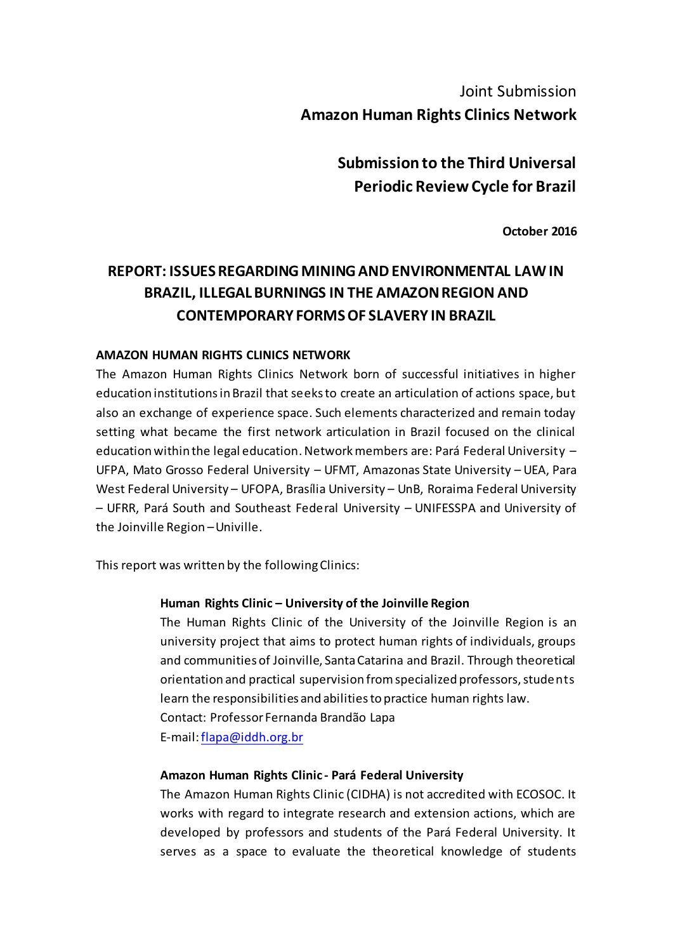# Joint Submission **Amazon Human Rights Clinics Network**

**Submission to the Third Universal Periodic Review Cycle for Brazil**

**October 2016**

# **REPORT: ISSUES REGARDING MINING AND ENVIRONMENTAL LAW IN BRAZIL, ILLEGAL BURNINGS IN THE AMAZON REGION AND CONTEMPORARY FORMS OF SLAVERY IN BRAZIL**

#### **AMAZON HUMAN RIGHTS CLINICS NETWORK**

The Amazon Human Rights Clinics Network born of successful initiatives in higher education institutions in Brazil that seeks to create an articulation of actions space, but also an exchange of experience space. Such elements characterized and remain today setting what became the first network articulation in Brazil focused on the clinical education within the legal education. Network members are: Pará Federal University – UFPA, Mato Grosso Federal University – UFMT, Amazonas State University – UEA, Para West Federal University – UFOPA, Brasília University – UnB, Roraima Federal University – UFRR, Pará South and Southeast Federal University – UNIFESSPA and University of the Joinville Region –Univille.

This report was written by the following Clinics:

#### **Human Rights Clinic – University of the Joinville Region**

The Human Rights Clinic of the University of the Joinville Region is an university project that aims to protect human rights of individuals, groups and communities of Joinville, Santa Catarina and Brazil. Through theoretical orientation and practical supervision from specialized professors, students learn the responsibilities and abilities to practice human rights law. Contact: Professor Fernanda Brandão Lapa E-mail: flapa@iddh.org.br

#### **Amazon Human Rights Clinic - Pará Federal University**

The Amazon Human Rights Clinic (CIDHA) is not accredited with ECOSOC. It works with regard to integrate research and extension actions, which are developed by professors and students of the Pará Federal University. It serves as a space to evaluate the theoretical knowledge of students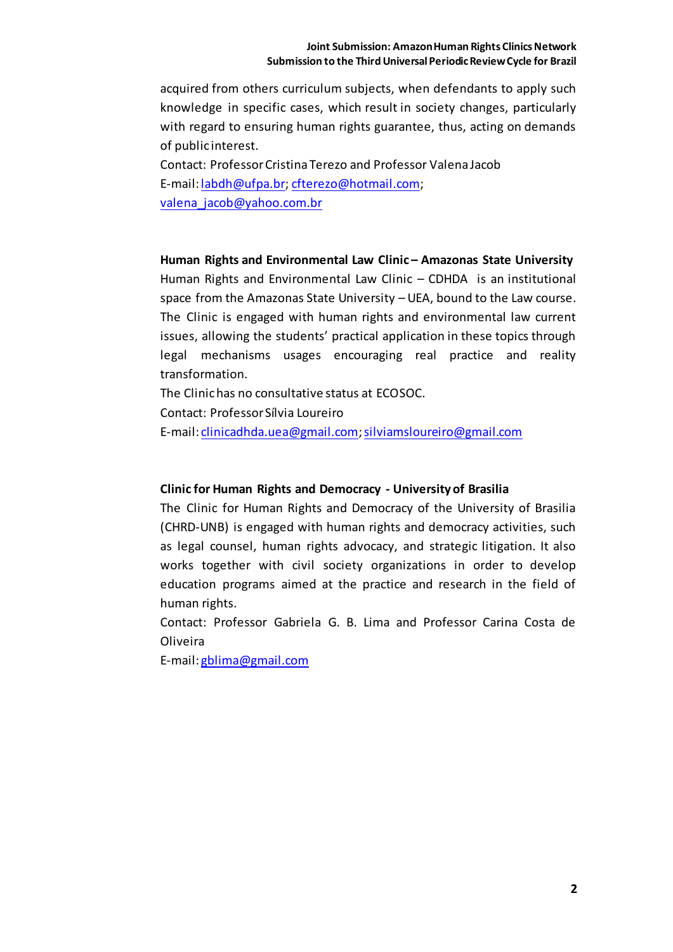acquired from others curriculum subjects, when defendants to apply such knowledge in specific cases, which result in society changes, particularly with regard to ensuring human rights guarantee, thus, acting on demands of public interest.

Contact: Professor Cristina Terezo and Professor Valena Jacob E-mail: labdh@ufpa.br; cfterezo@hotmail.com; valena\_jacob@yahoo.com.br

**Human Rights and Environmental Law Clinic – Amazonas State University** Human Rights and Environmental Law Clinic – CDHDA is an institutional space from the Amazonas State University – UEA, bound to the Law course. The Clinic is engaged with human rights and environmental law current issues, allowing the students' practical application in these topics through legal mechanisms usages encouraging real practice and reality transformation.

The Clinic has no consultative status at ECOSOC.

Contact: Professor Sílvia Loureiro

E-mail: clinicadhda.uea@gmail.com; silviamsloureiro@gmail.com

#### **Clinic for Human Rights and Democracy - University of Brasilia**

The Clinic for Human Rights and Democracy of the University of Brasilia (CHRD-UNB) is engaged with human rights and democracy activities, such as legal counsel, human rights advocacy, and strategic litigation. It also works together with civil society organizations in order to develop education programs aimed at the practice and research in the field of human rights.

Contact: Professor Gabriela G. B. Lima and Professor Carina Costa de Oliveira

E-mail: gblima@gmail.com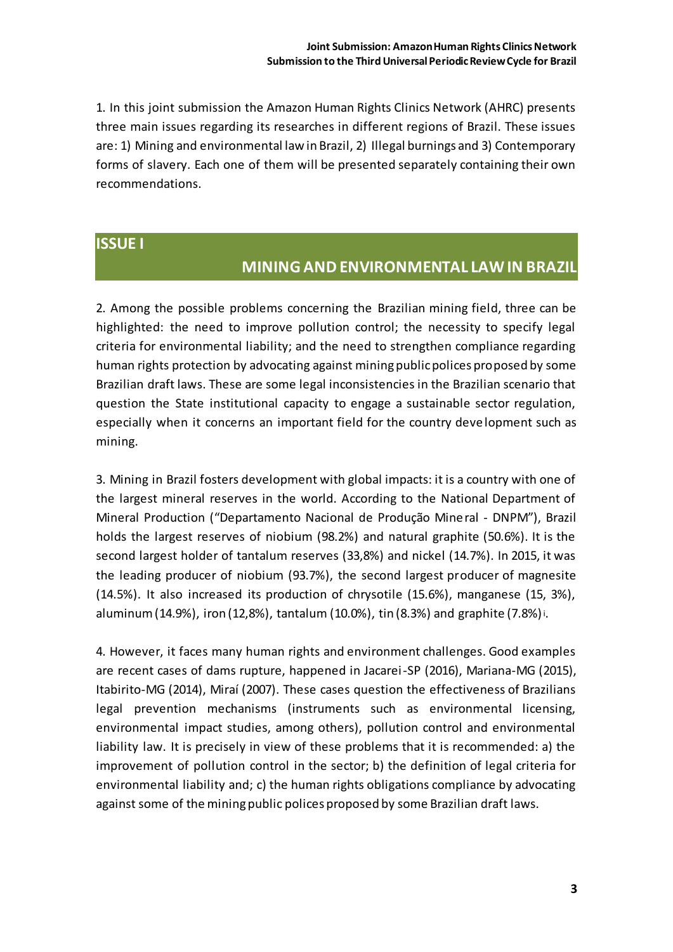1. In this joint submission the Amazon Human Rights Clinics Network (AHRC) presents three main issues regarding its researches in different regions of Brazil. These issues are: 1) Mining and environmental law in Brazil, 2) Illegal burnings and 3) Contemporary forms of slavery. Each one of them will be presented separately containing their own recommendations.

### **ISSUE I**

### **MINING AND ENVIRONMENTAL LAW IN BRAZIL**

2. Among the possible problems concerning the Brazilian mining field, three can be highlighted: the need to improve pollution control; the necessity to specify legal criteria for environmental liability; and the need to strengthen compliance regarding human rights protection by advocating against mining public polices proposed by some Brazilian draft laws. These are some legal inconsistencies in the Brazilian scenario that question the State institutional capacity to engage a sustainable sector regulation, especially when it concerns an important field for the country deve lopment such as mining.

3. Mining in Brazil fosters development with global impacts: it is a country with one of the largest mineral reserves in the world. According to the National Department of Mineral Production ("Departamento Nacional de Produção Mineral - DNPM"), Brazil holds the largest reserves of niobium (98.2%) and natural graphite (50.6%). It is the second largest holder of tantalum reserves (33,8%) and nickel (14.7%). In 2015, it was the leading producer of niobium (93.7%), the second largest producer of magnesite (14.5%). It also increased its production of chrysotile (15.6%), manganese (15, 3%), aluminum (14.9%), iron (12,8%), tantalum (10.0%), tin (8.3%) and graphite (7.8%)i.

4. However, it faces many human rights and environment challenges. Good examples are recent cases of dams rupture, happened in Jacarei-SP (2016), Mariana-MG (2015), Itabirito-MG (2014), Miraí (2007). These cases question the effectiveness of Brazilians legal prevention mechanisms (instruments such as environmental licensing, environmental impact studies, among others), pollution control and environmental liability law. It is precisely in view of these problems that it is recommended: a) the improvement of pollution control in the sector; b) the definition of legal criteria for environmental liability and; c) the human rights obligations compliance by advocating against some of the mining public polices proposed by some Brazilian draft laws.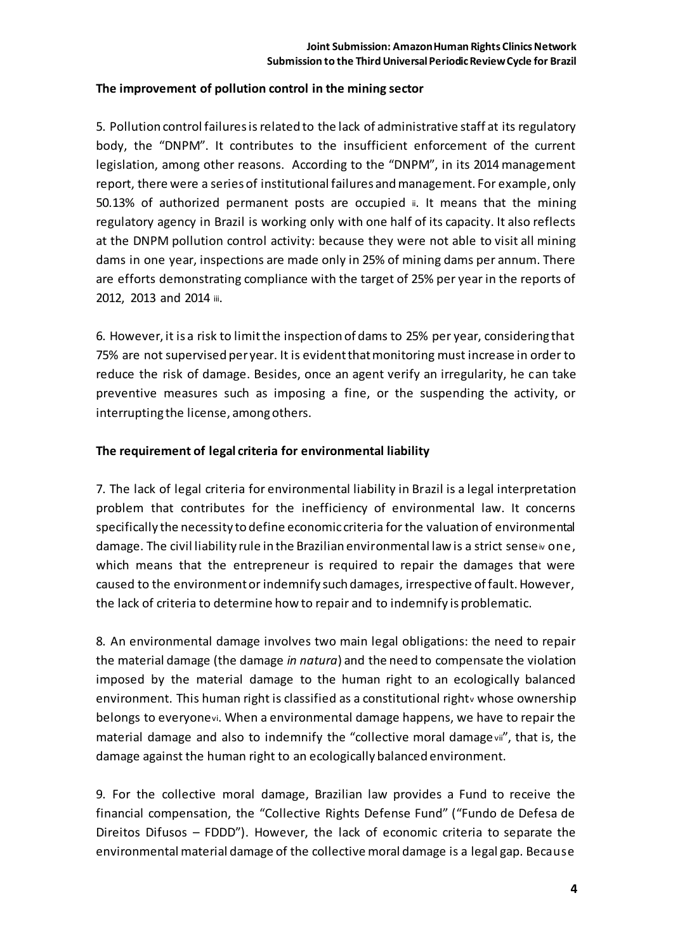### **The improvement of pollution control in the mining sector**

5. Pollution control failures isrelated to the lack of administrative staff at its regulatory body, the "DNPM". It contributes to the insufficient enforcement of the current legislation, among other reasons. According to the "DNPM", in its 2014 management report, there were a series of institutional failures and management. For example, only 50.13% of authorized permanent posts are occupied ii. It means that the mining regulatory agency in Brazil is working only with one half of its capacity. It also reflects at the DNPM pollution control activity: because they were not able to visit all mining dams in one year, inspections are made only in 25% of mining dams per annum. There are efforts demonstrating compliance with the target of 25% per year in the reports of 2012, 2013 and 2014 iii.

6. However, it is a risk to limit the inspection of dams to 25% per year, considering that 75% are not supervised per year. It is evident that monitoring must increase in order to reduce the risk of damage. Besides, once an agent verify an irregularity, he can take preventive measures such as imposing a fine, or the suspending the activity, or interrupting the license, among others.

### **The requirement of legal criteria for environmental liability**

7. The lack of legal criteria for environmental liability in Brazil is a legal interpretation problem that contributes for the inefficiency of environmental law. It concerns specifically the necessity to define economic criteria for the valuation of environmental damage. The civil liability rule in the Brazilian environmental law is a strict senseivone, which means that the entrepreneur is required to repair the damages that were caused to the environment or indemnify such damages, irrespective of fault. However, the lack of criteria to determine how to repair and to indemnify is problematic.

8. An environmental damage involves two main legal obligations: the need to repair the material damage (the damage *in natura*) and the need to compensate the violation imposed by the material damage to the human right to an ecologically balanced environment. This human right is classified as a constitutional right w whose ownership belongs to everyonevi. When a environmental damage happens, we have to repair the material damage and also to indemnify the "collective moral damagevii", that is, the damage against the human right to an ecologically balanced environment.

9. For the collective moral damage, Brazilian law provides a Fund to receive the financial compensation, the "Collective Rights Defense Fund" ("Fundo de Defesa de Direitos Difusos – FDDD"). However, the lack of economic criteria to separate the environmental material damage of the collective moral damage is a legal gap. Because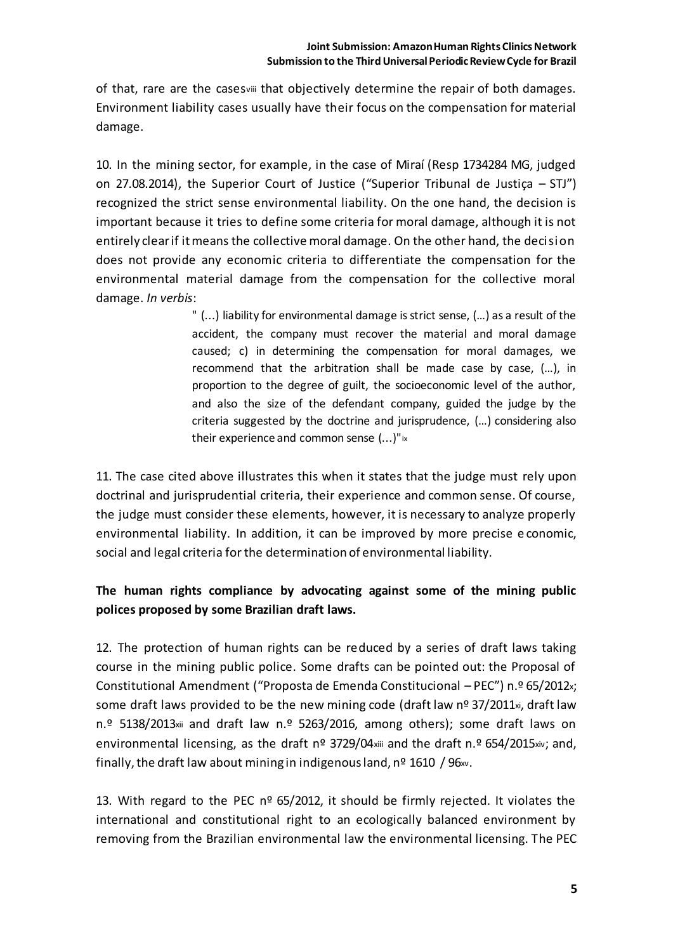of that, rare are the casesviii that objectively determine the repair of both damages. Environment liability cases usually have their focus on the compensation for material damage.

10. In the mining sector, for example, in the case of Miraí (Resp 1734284 MG, judged on 27.08.2014), the Superior Court of Justice ("Superior Tribunal de Justiça – STJ") recognized the strict sense environmental liability. On the one hand, the decision is important because it tries to define some criteria for moral damage, although it is not entirely clear if it means the collective moral damage. On the other hand, the decision does not provide any economic criteria to differentiate the compensation for the environmental material damage from the compensation for the collective moral damage. *In verbis*:

> " (...) liability for environmental damage is strict sense, (…) as a result of the accident, the company must recover the material and moral damage caused; c) in determining the compensation for moral damages, we recommend that the arbitration shall be made case by case, (…), in proportion to the degree of guilt, the socioeconomic level of the author, and also the size of the defendant company, guided the judge by the criteria suggested by the doctrine and jurisprudence, (…) considering also their experience and common sense (...)"ix

11. The case cited above illustrates this when it states that the judge must rely upon doctrinal and jurisprudential criteria, their experience and common sense. Of course, the judge must consider these elements, however, it is necessary to analyze properly environmental liability. In addition, it can be improved by more precise e conomic, social and legal criteria for the determination of environmental liability.

### **The human rights compliance by advocating against some of the mining public polices proposed by some Brazilian draft laws.**

12. The protection of human rights can be reduced by a series of draft laws taking course in the mining public police. Some drafts can be pointed out: the Proposal of Constitutional Amendment ("Proposta de Emenda Constitucional – PEC") n.º 65/2012x; some draft laws provided to be the new mining code (draft law nº 37/2011xi, draft law n.º 5138/2013xii and draft law n.º 5263/2016, among others); some draft laws on environmental licensing, as the draft nº 3729/04xiii and the draft n.º 654/2015xiv; and, finally, the draft law about mining in indigenous land,  $n<sup>o</sup>$  1610 / 96 $\infty$ .

13. With regard to the PEC  $n^{\circ}$  65/2012, it should be firmly rejected. It violates the international and constitutional right to an ecologically balanced environment by removing from the Brazilian environmental law the environmental licensing. The PEC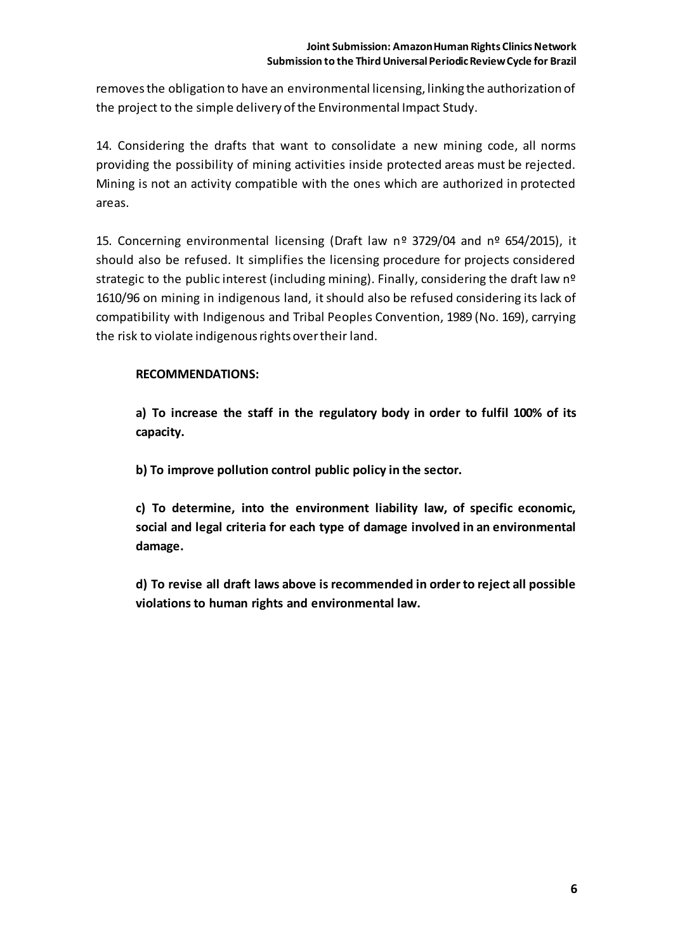removes the obligation to have an environmental licensing, linking the authorization of the project to the simple delivery of the Environmental Impact Study.

14. Considering the drafts that want to consolidate a new mining code, all norms providing the possibility of mining activities inside protected areas must be rejected. Mining is not an activity compatible with the ones which are authorized in protected areas.

15. Concerning environmental licensing (Draft law  $n^{\circ}$  3729/04 and  $n^{\circ}$  654/2015), it should also be refused. It simplifies the licensing procedure for projects considered strategic to the public interest (including mining). Finally, considering the draft law nº 1610/96 on mining in indigenous land, it should also be refused considering its lack of compatibility with Indigenous and Tribal Peoples Convention, 1989 (No. 169), carrying the risk to violate indigenous rights over their land.

### **RECOMMENDATIONS:**

**a) To increase the staff in the regulatory body in order to fulfil 100% of its capacity.**

**b) To improve pollution control public policy in the sector.**

**c) To determine, into the environment liability law, of specific economic, social and legal criteria for each type of damage involved in an environmental damage.**

**d) To revise all draft laws above is recommended in order to reject all possible violations to human rights and environmental law.**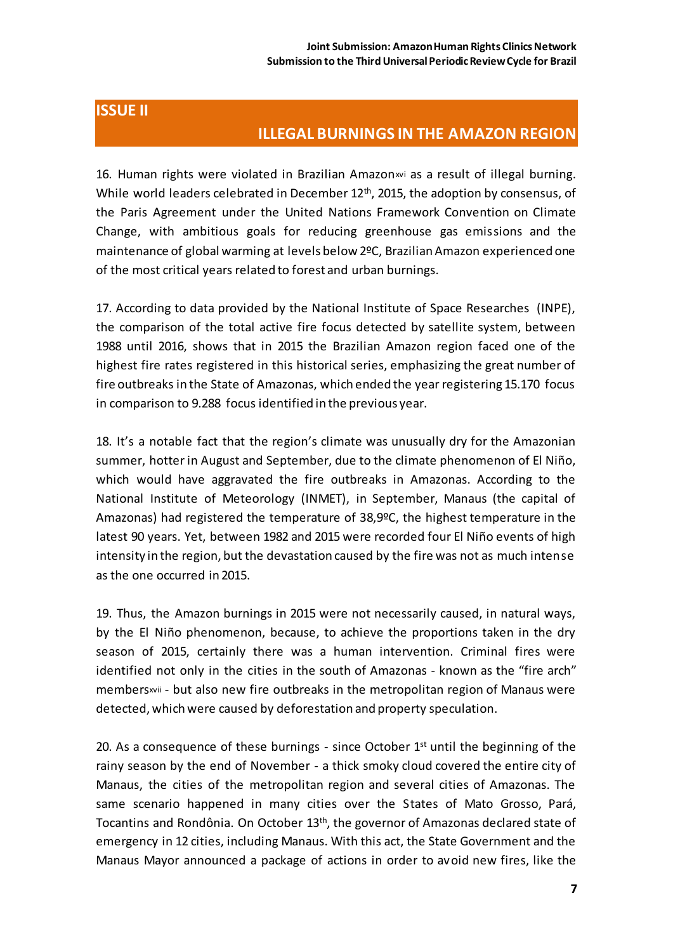# **ISSUE II**

## **ILLEGAL BURNINGS IN THE AMAZON REGION**

16. Human rights were violated in Brazilian Amazon vi as a result of illegal burning. While world leaders celebrated in December 12<sup>th</sup>, 2015, the adoption by consensus, of the Paris Agreement under the United Nations Framework Convention on Climate Change, with ambitious goals for reducing greenhouse gas emissions and the maintenance of global warming at levels below 2ºC, Brazilian Amazon experienced one of the most critical years related to forest and urban burnings.

17. According to data provided by the National Institute of Space Researches (INPE), the comparison of the total active fire focus detected by satellite system, between 1988 until 2016, shows that in 2015 the Brazilian Amazon region faced one of the highest fire rates registered in this historical series, emphasizing the great number of fire outbreaks in the State of Amazonas, which ended the year registering 15.170 focus in comparison to 9.288 focus identified in the previous year.

18. It's a notable fact that the region's climate was unusually dry for the Amazonian summer, hotter in August and September, due to the climate phenomenon of El Niño, which would have aggravated the fire outbreaks in Amazonas. According to the National Institute of Meteorology (INMET), in September, Manaus (the capital of Amazonas) had registered the temperature of 38,9ºC, the highest temperature in the latest 90 years. Yet, between 1982 and 2015 were recorded four El Niño events of high intensity in the region, but the devastation caused by the fire was not as much intense as the one occurred in 2015.

19. Thus, the Amazon burnings in 2015 were not necessarily caused, in natural ways, by the El Niño phenomenon, because, to achieve the proportions taken in the dry season of 2015, certainly there was a human intervention. Criminal fires were identified not only in the cities in the south of Amazonas - known as the "fire arch" membersxvii - but also new fire outbreaks in the metropolitan region of Manaus were detected, which were caused by deforestation and property speculation.

20. As a consequence of these burnings - since October  $1<sup>st</sup>$  until the beginning of the rainy season by the end of November - a thick smoky cloud covered the entire city of Manaus, the cities of the metropolitan region and several cities of Amazonas. The same scenario happened in many cities over the States of Mato Grosso, Pará, Tocantins and Rondônia. On October 13th, the governor of Amazonas declared state of emergency in 12 cities, including Manaus. With this act, the State Government and the Manaus Mayor announced a package of actions in order to avoid new fires, like the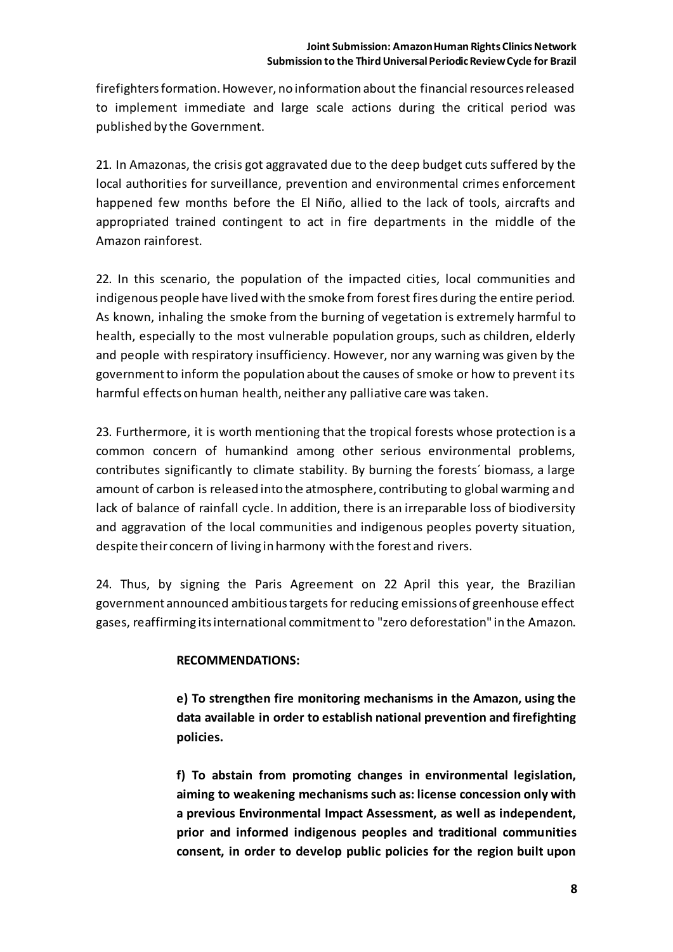firefighters formation. However, no information about the financial resources released to implement immediate and large scale actions during the critical period was published by the Government.

21. In Amazonas, the crisis got aggravated due to the deep budget cuts suffered by the local authorities for surveillance, prevention and environmental crimes enforcement happened few months before the El Niño, allied to the lack of tools, aircrafts and appropriated trained contingent to act in fire departments in the middle of the Amazon rainforest.

22. In this scenario, the population of the impacted cities, local communities and indigenous people have lived with the smoke from forest fires during the entire period. As known, inhaling the smoke from the burning of vegetation is extremely harmful to health, especially to the most vulnerable population groups, such as children, elderly and people with respiratory insufficiency. However, nor any warning was given by the government to inform the population about the causes of smoke or how to prevent its harmful effects on human health, neither any palliative care was taken.

23. Furthermore, it is worth mentioning that the tropical forests whose protection is a common concern of humankind among other serious environmental problems, contributes significantly to climate stability. By burning the forests´ biomass, a large amount of carbon is released into the atmosphere, contributing to global warming and lack of balance of rainfall cycle. In addition, there is an irreparable loss of biodiversity and aggravation of the local communities and indigenous peoples poverty situation, despite their concern of living in harmony with the forest and rivers.

24. Thus, by signing the Paris Agreement on 22 April this year, the Brazilian government announced ambitious targets for reducing emissions of greenhouse effect gases, reaffirming its international commitment to "zero deforestation" in the Amazon.

### **RECOMMENDATIONS:**

**e) To strengthen fire monitoring mechanisms in the Amazon, using the data available in order to establish national prevention and firefighting policies.**

**f) To abstain from promoting changes in environmental legislation, aiming to weakening mechanisms such as: license concession only with a previous Environmental Impact Assessment, as well as independent, prior and informed indigenous peoples and traditional communities consent, in order to develop public policies for the region built upon**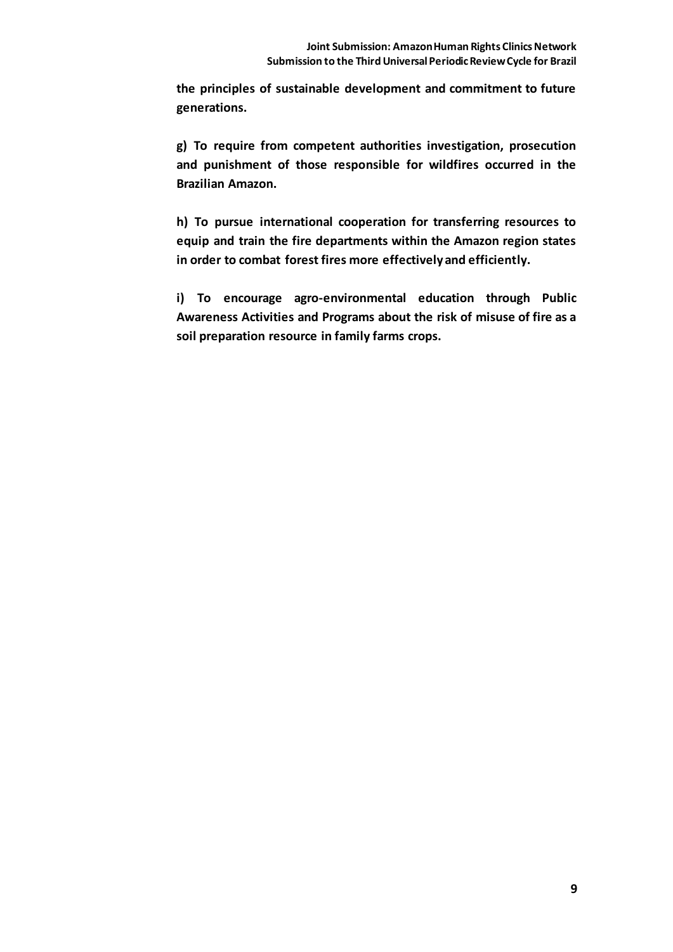**the principles of sustainable development and commitment to future generations.**

**g) To require from competent authorities investigation, prosecution and punishment of those responsible for wildfires occurred in the Brazilian Amazon.**

**h) To pursue international cooperation for transferring resources to equip and train the fire departments within the Amazon region states in order to combat forest fires more effectively and efficiently.**

**i) To encourage agro-environmental education through Public Awareness Activities and Programs about the risk of misuse of fire as a soil preparation resource in family farms crops.**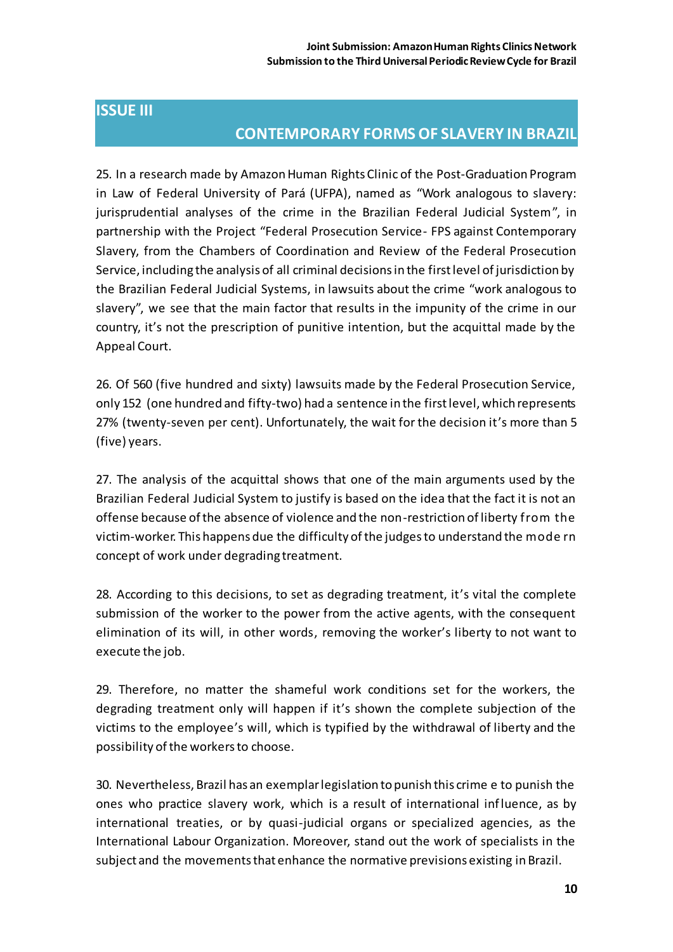# **ISSUE III**

## **CONTEMPORARY FORMS OF SLAVERY IN BRAZIL**

25. In a research made by Amazon Human Rights Clinic of the Post-Graduation Program in Law of Federal University of Pará (UFPA), named as "Work analogous to slavery: jurisprudential analyses of the crime in the Brazilian Federal Judicial System", in partnership with the Project "Federal Prosecution Service- FPS against Contemporary Slavery, from the Chambers of Coordination and Review of the Federal Prosecution Service, including the analysis of all criminal decisions in the first level of jurisdiction by the Brazilian Federal Judicial Systems, in lawsuits about the crime "work analogous to slavery", we see that the main factor that results in the impunity of the crime in our country, it's not the prescription of punitive intention, but the acquittal made by the Appeal Court.

26. Of 560 (five hundred and sixty) lawsuits made by the Federal Prosecution Service, only 152 (one hundred and fifty-two) had a sentence in the first level, which represents 27% (twenty-seven per cent). Unfortunately, the wait for the decision it's more than 5 (five) years.

27. The analysis of the acquittal shows that one of the main arguments used by the Brazilian Federal Judicial System to justify is based on the idea that the fact it is not an offense because of the absence of violence and the non-restriction of liberty from the victim-worker. This happens due the difficulty of the judges to understand the mode rn concept of work under degrading treatment.

28. According to this decisions, to set as degrading treatment, it's vital the complete submission of the worker to the power from the active agents, with the consequent elimination of its will, in other words, removing the worker's liberty to not want to execute the job.

29. Therefore, no matter the shameful work conditions set for the workers, the degrading treatment only will happen if it's shown the complete subjection of the victims to the employee's will, which is typified by the withdrawal of liberty and the possibility of the workers to choose.

30. Nevertheless, Brazil has an exemplar legislation to punish this crime e to punish the ones who practice slavery work, which is a result of international influence, as by international treaties, or by quasi-judicial organs or specialized agencies, as the International Labour Organization. Moreover, stand out the work of specialists in the subject and the movements that enhance the normative previsions existing in Brazil.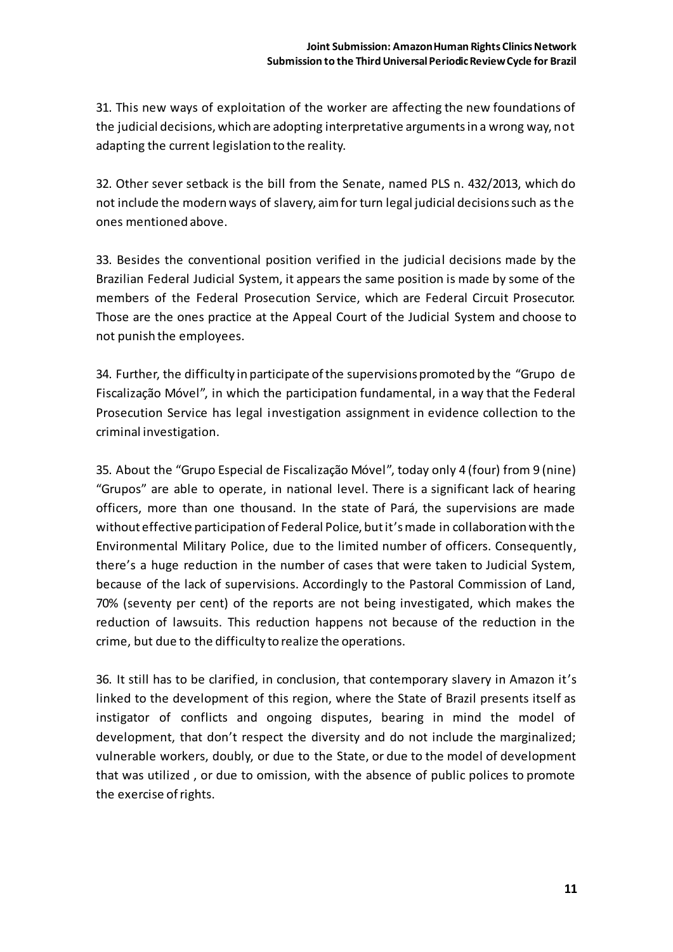31. This new ways of exploitation of the worker are affecting the new foundations of the judicial decisions, which are adopting interpretative arguments in a wrong way, not adapting the current legislation to the reality.

32. Other sever setback is the bill from the Senate, named PLS n. 432/2013, which do not include the modern ways of slavery, aim for turn legal judicial decisions such as the ones mentioned above.

33. Besides the conventional position verified in the judicial decisions made by the Brazilian Federal Judicial System, it appears the same position is made by some of the members of the Federal Prosecution Service, which are Federal Circuit Prosecutor. Those are the ones practice at the Appeal Court of the Judicial System and choose to not punish the employees.

34. Further, the difficulty in participate of the supervisions promoted by the "Grupo de Fiscalização Móvel", in which the participation fundamental, in a way that the Federal Prosecution Service has legal investigation assignment in evidence collection to the criminal investigation.

35. About the "Grupo Especial de Fiscalização Móvel", today only 4 (four) from 9 (nine) "Grupos" are able to operate, in national level. There is a significant lack of hearing officers, more than one thousand. In the state of Pará, the supervisions are made without effective participation of Federal Police, but it's made in collaboration with the Environmental Military Police, due to the limited number of officers. Consequently, there's a huge reduction in the number of cases that were taken to Judicial System, because of the lack of supervisions. Accordingly to the Pastoral Commission of Land, 70% (seventy per cent) of the reports are not being investigated, which makes the reduction of lawsuits. This reduction happens not because of the reduction in the crime, but due to the difficulty to realize the operations.

36. It still has to be clarified, in conclusion, that contemporary slavery in Amazon it's linked to the development of this region, where the State of Brazil presents itself as instigator of conflicts and ongoing disputes, bearing in mind the model of development, that don't respect the diversity and do not include the marginalized; vulnerable workers, doubly, or due to the State, or due to the model of development that was utilized , or due to omission, with the absence of public polices to promote the exercise of rights.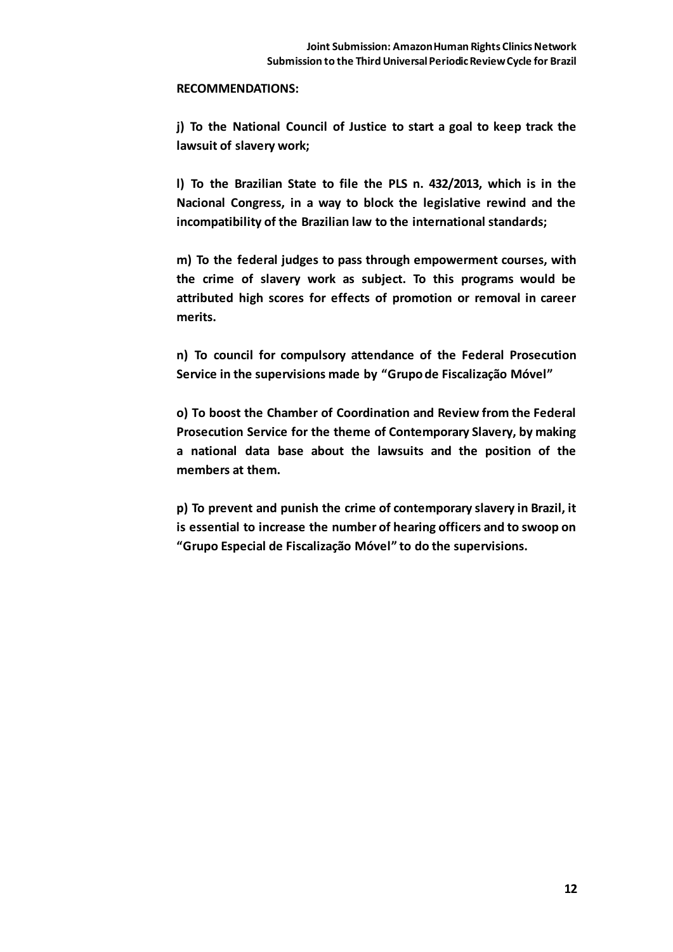#### **RECOMMENDATIONS:**

**j) To the National Council of Justice to start a goal to keep track the lawsuit of slavery work;**

**l) To the Brazilian State to file the PLS n. 432/2013, which is in the Nacional Congress, in a way to block the legislative rewind and the incompatibility of the Brazilian law to the international standards;**

**m) To the federal judges to pass through empowerment courses, with the crime of slavery work as subject. To this programs would be attributed high scores for effects of promotion or removal in career merits.**

**n) To council for compulsory attendance of the Federal Prosecution Service in the supervisions made by "Grupo de Fiscalização Móvel"**

**o) To boost the Chamber of Coordination and Review from the Federal Prosecution Service for the theme of Contemporary Slavery, by making a national data base about the lawsuits and the position of the members at them.**

**p) To prevent and punish the crime of contemporary slavery in Brazil, it is essential to increase the number of hearing officers and to swoop on "Grupo Especial de Fiscalização Móvel" to do the supervisions.**